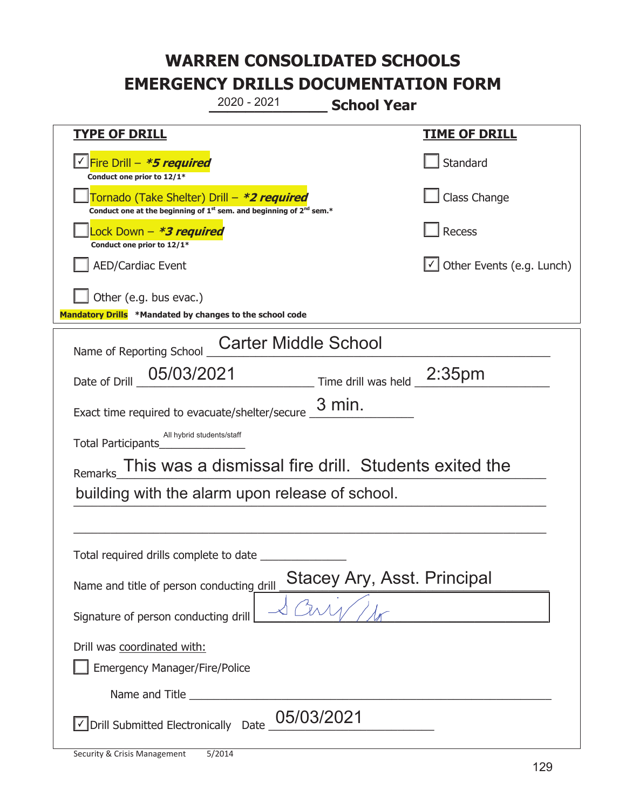|                                                                                                                                           | 2020 - 2021                                          | <b>School Year</b>                 |                                  |
|-------------------------------------------------------------------------------------------------------------------------------------------|------------------------------------------------------|------------------------------------|----------------------------------|
| <u>TYPE OF DRILL</u>                                                                                                                      |                                                      |                                    | <u>TIME OF DRILL</u>             |
| Fire Drill - <b>*5 required</b><br>Conduct one prior to 12/1*                                                                             |                                                      |                                    | Standard                         |
| Tornado (Take Shelter) Drill – *2 required<br>Conduct one at the beginning of 1 <sup>st</sup> sem. and beginning of 2 <sup>nd</sup> sem.* |                                                      |                                    | Class Change                     |
| Lock Down – <b><i>*3 required</i></b><br>Conduct one prior to 12/1*                                                                       |                                                      |                                    | <b>Recess</b>                    |
| <b>AED/Cardiac Event</b>                                                                                                                  |                                                      |                                    | $\cup$ Other Events (e.g. Lunch) |
| Other (e.g. bus evac.)<br>Mandatory Drills *Mandated by changes to the school code                                                        |                                                      |                                    |                                  |
| Name of Reporting School                                                                                                                  | <b>Carter Middle School</b>                          |                                    |                                  |
| 05/03/2021<br>Date of Drill                                                                                                               |                                                      | Time drill was held $\_2:35pm$     |                                  |
| Exact time required to evacuate/shelter/secure                                                                                            |                                                      | $3$ min.                           |                                  |
| All hybrid students/staff<br>Total Participants                                                                                           |                                                      |                                    |                                  |
| Remarks                                                                                                                                   | This was a dismissal fire drill. Students exited the |                                    |                                  |
| building with the alarm upon release of school.                                                                                           |                                                      |                                    |                                  |
|                                                                                                                                           |                                                      |                                    |                                  |
| Total required drills complete to date                                                                                                    |                                                      |                                    |                                  |
| Name and title of person conducting drill                                                                                                 |                                                      | <b>Stacey Ary, Asst. Principal</b> |                                  |
| Signature of person conducting drill                                                                                                      |                                                      |                                    |                                  |
| Drill was coordinated with:                                                                                                               |                                                      |                                    |                                  |
| <b>Emergency Manager/Fire/Police</b>                                                                                                      |                                                      |                                    |                                  |
| Drill Submitted Electronically Date                                                                                                       | 05/03/2021                                           |                                    |                                  |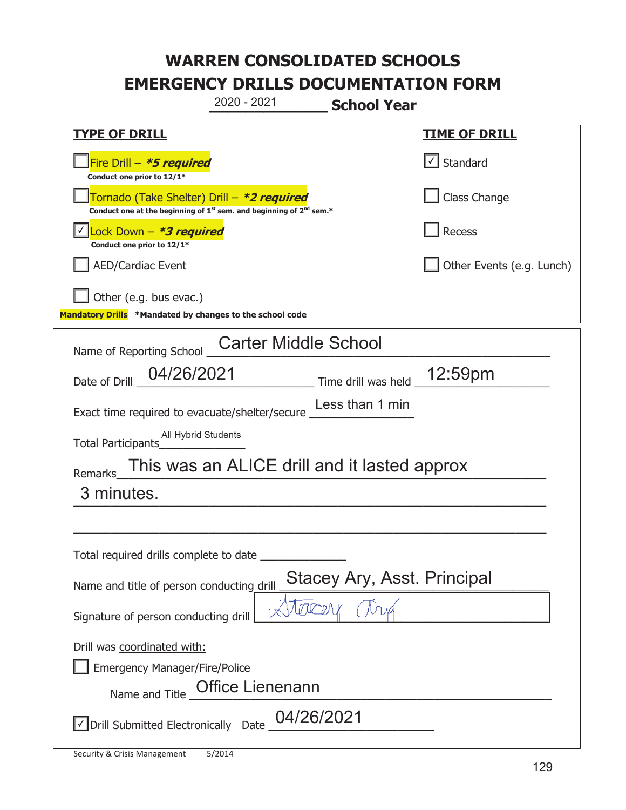|                                                                                                                                           | 2020 - 2021                                  | <b>School Year</b>                 |                           |
|-------------------------------------------------------------------------------------------------------------------------------------------|----------------------------------------------|------------------------------------|---------------------------|
| <b>TYPE OF DRILL</b>                                                                                                                      |                                              |                                    | <u>TIME OF DRILL</u>      |
| Fire Drill - *5 required<br>Conduct one prior to 12/1*                                                                                    |                                              |                                    | √ Standard                |
| Tornado (Take Shelter) Drill – *2 required<br>Conduct one at the beginning of 1 <sup>st</sup> sem. and beginning of 2 <sup>nd</sup> sem.* |                                              |                                    | Class Change              |
| Lock Down – <i>*<b>3 required</b></i><br>Conduct one prior to 12/1*                                                                       |                                              |                                    | Recess                    |
| <b>AED/Cardiac Event</b>                                                                                                                  |                                              |                                    | Other Events (e.g. Lunch) |
| Other (e.g. bus evac.)<br>Mandatory Drills *Mandated by changes to the school code                                                        |                                              |                                    |                           |
| Name of Reporting School                                                                                                                  | <b>Carter Middle School</b>                  |                                    |                           |
| 04/26/2021<br>Date of Drill                                                                                                               |                                              | Time drill was held _12:59pm       |                           |
| Exact time required to evacuate/shelter/secure                                                                                            |                                              | Less than 1 min                    |                           |
| All Hybrid Students<br>Total Participants                                                                                                 |                                              |                                    |                           |
| <b>Remarks</b>                                                                                                                            | This was an ALICE drill and it lasted approx |                                    |                           |
| 3 minutes.                                                                                                                                |                                              |                                    |                           |
|                                                                                                                                           |                                              |                                    |                           |
| Total required drills complete to date                                                                                                    |                                              |                                    |                           |
| Name and title of person conducting drill                                                                                                 |                                              | <b>Stacey Ary, Asst. Principal</b> |                           |
| Signature of person conducting drill                                                                                                      |                                              |                                    |                           |
| Drill was coordinated with:<br><b>Emergency Manager/Fire/Police</b><br>Name and Title                                                     | <b>Office Lienenann</b>                      |                                    |                           |
| √ Drill Submitted Electronically Date                                                                                                     | 04/26/2021                                   |                                    |                           |

T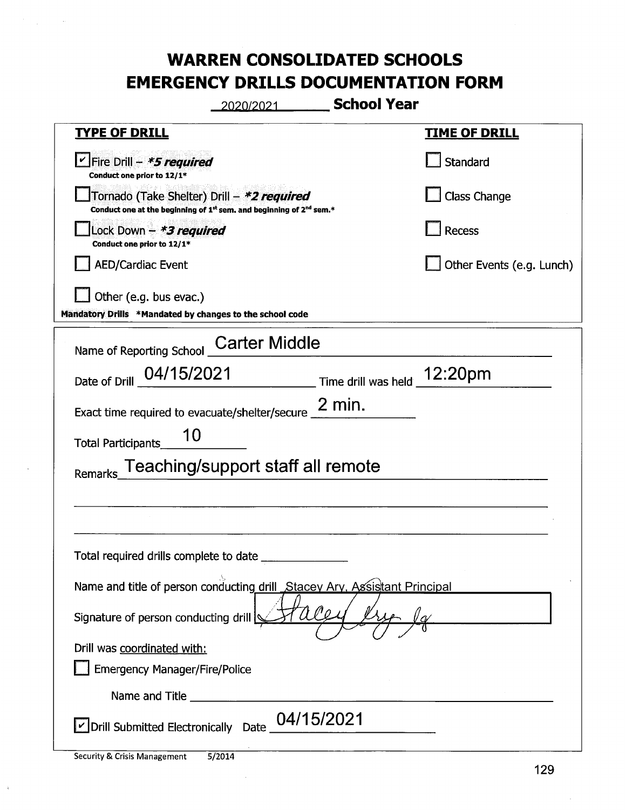| 2020/2021                                                                                                                                 | <b>School Year</b>                                                                                                                                                                 |
|-------------------------------------------------------------------------------------------------------------------------------------------|------------------------------------------------------------------------------------------------------------------------------------------------------------------------------------|
| <b>TYPE OF DRILL</b>                                                                                                                      | <b>TIME OF DRILL</b>                                                                                                                                                               |
| Sire Drill - *5 required<br>Conduct one prior to 12/1*                                                                                    | <b>Standard</b>                                                                                                                                                                    |
| Tornado (Take Shelter) Drill – *2 required<br>Conduct one at the beginning of 1 <sup>st</sup> sem. and beginning of 2 <sup>nd</sup> sem.* | <b>Class Change</b>                                                                                                                                                                |
| Lock Down - *3 required<br>Conduct one prior to 12/1*                                                                                     | <b>Recess</b>                                                                                                                                                                      |
| <b>AED/Cardiac Event</b>                                                                                                                  | Other Events (e.g. Lunch)                                                                                                                                                          |
| Other (e.g. bus evac.)<br>Mandatory Drills *Mandated by changes to the school code                                                        |                                                                                                                                                                                    |
| Name of Reporting School _Carter Middle                                                                                                   |                                                                                                                                                                                    |
| 04/15/2021<br>Date of Drill                                                                                                               | $\begin{array}{c} \begin{array}{c} \textcolor{red}{\textbf{12:20pm}} \end{array} \end{array}$ Time drill was held $\begin{array}{c} \textcolor{red}{\textbf{12:20pm}} \end{array}$ |
| Exact time required to evacuate/shelter/secure $\frac{2}{1}$ min.                                                                         |                                                                                                                                                                                    |
| 10<br><b>Total Participants</b>                                                                                                           |                                                                                                                                                                                    |
| Remarks_Teaching/support staff all remote                                                                                                 |                                                                                                                                                                                    |
|                                                                                                                                           |                                                                                                                                                                                    |
| Total required drills complete to date _________                                                                                          |                                                                                                                                                                                    |
| Name and title of person conducting drill_Stacey Ary, Assistant Principal                                                                 |                                                                                                                                                                                    |
| Signature of person conducting drill                                                                                                      |                                                                                                                                                                                    |
| Drill was coordinated with:                                                                                                               |                                                                                                                                                                                    |
| <b>Emergency Manager/Fire/Police</b>                                                                                                      |                                                                                                                                                                                    |
|                                                                                                                                           |                                                                                                                                                                                    |
| Drill Submitted Electronically Date 04/15/2021                                                                                            |                                                                                                                                                                                    |

 $\hat{\mathbf{r}}$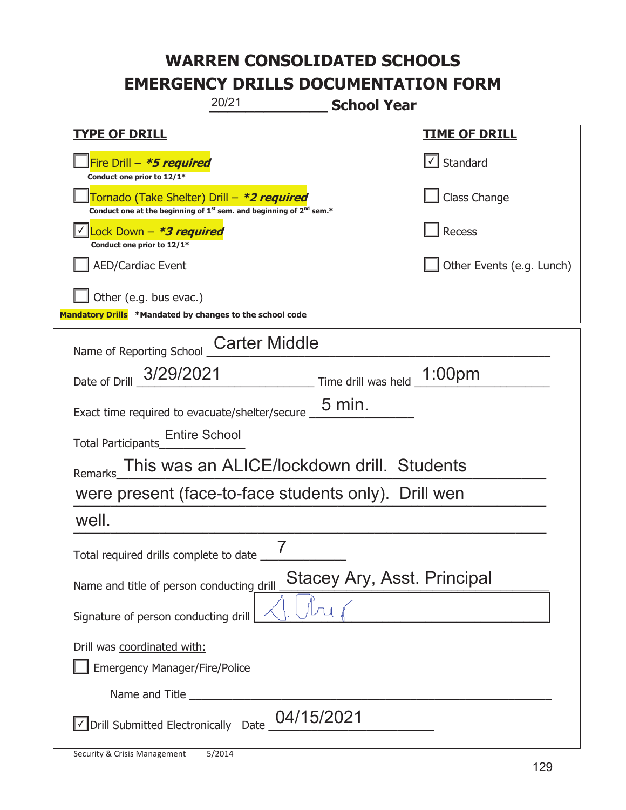|                                                                                                                                           | 20/21                                      | <b>School Year</b>          |                           |
|-------------------------------------------------------------------------------------------------------------------------------------------|--------------------------------------------|-----------------------------|---------------------------|
| <u>TYPE OF DRILL</u>                                                                                                                      |                                            |                             | <u>TIME OF DRILL</u>      |
| Fire Drill - *5 required<br>Conduct one prior to 12/1*                                                                                    |                                            |                             | Standard                  |
| Tornado (Take Shelter) Drill – *2 required<br>Conduct one at the beginning of 1 <sup>st</sup> sem. and beginning of 2 <sup>nd</sup> sem.* |                                            |                             | Class Change              |
| Lock Down - *3 required<br>Conduct one prior to 12/1*                                                                                     |                                            |                             | Recess                    |
| <b>AED/Cardiac Event</b>                                                                                                                  |                                            |                             | Other Events (e.g. Lunch) |
| Other (e.g. bus evac.)<br>Mandatory Drills *Mandated by changes to the school code                                                        |                                            |                             |                           |
| Name of Reporting School                                                                                                                  | <b>Carter Middle</b>                       |                             |                           |
| Date of Drill _ 3/29/2021                                                                                                                 |                                            |                             |                           |
| Exact time required to evacuate/shelter/secure                                                                                            |                                            | $5 \,\mathrm{min}$ .        |                           |
| <b>Entire School</b><br><b>Total Participants</b>                                                                                         |                                            |                             |                           |
| <b>Remarks</b>                                                                                                                            | This was an ALICE/lockdown drill. Students |                             |                           |
| were present (face-to-face students only). Drill wen                                                                                      |                                            |                             |                           |
| well.                                                                                                                                     |                                            |                             |                           |
| Total required drills complete to date _                                                                                                  | 7                                          |                             |                           |
| Name and title of person conducting drill                                                                                                 |                                            | Stacey Ary, Asst. Principal |                           |
| Signature of person conducting drill                                                                                                      |                                            |                             |                           |
| Drill was coordinated with:<br><b>Emergency Manager/Fire/Police</b>                                                                       |                                            |                             |                           |
|                                                                                                                                           |                                            |                             |                           |
| √ Drill Submitted Electronically Date                                                                                                     | 04/15/2021                                 |                             |                           |

T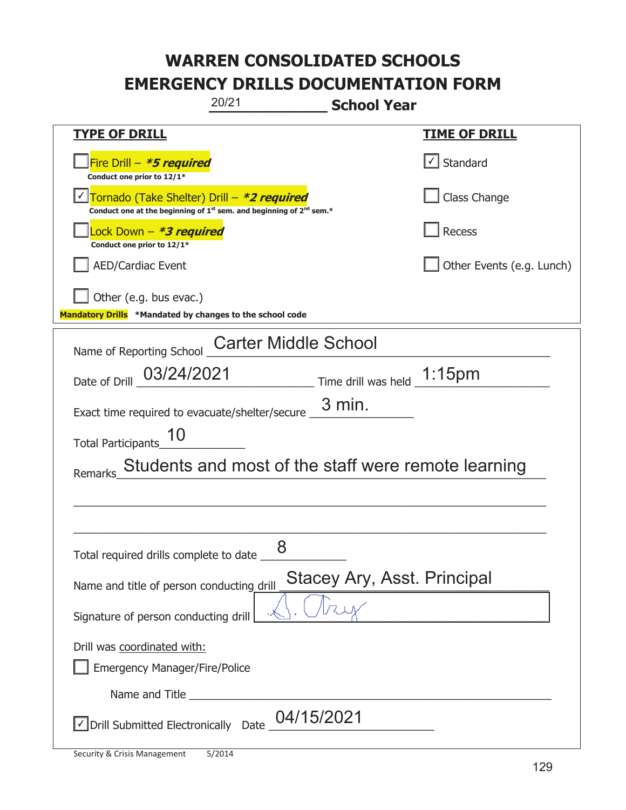| 20/21                                                                                                                                     | <b>School Year</b>                 |
|-------------------------------------------------------------------------------------------------------------------------------------------|------------------------------------|
| <b>TYPE OF DRILL</b>                                                                                                                      | <u>TIME OF DRILL</u>               |
| Fire Drill - *5 required<br>Conduct one prior to 12/1*                                                                                    | √ Standard                         |
| Tornado (Take Shelter) Drill – *2 required<br>Conduct one at the beginning of 1 <sup>st</sup> sem. and beginning of 2 <sup>nd</sup> sem.* | Class Change                       |
| ock Down – <b>*3 required</b><br>Conduct one prior to 12/1*                                                                               | <b>Recess</b>                      |
| <b>AED/Cardiac Event</b>                                                                                                                  | Other Events (e.g. Lunch)          |
| Other (e.g. bus evac.)<br>Mandatory Drills *Mandated by changes to the school code                                                        |                                    |
| <b>Carter Middle School</b><br>Name of Reporting School                                                                                   |                                    |
| Date of Drill 03/24/2021                                                                                                                  | Time drill was held 1:15pm         |
| Exact time required to evacuate/shelter/secure _                                                                                          | $3$ min.                           |
| <b>Total Participants</b>                                                                                                                 |                                    |
| Students and most of the staff were remote learning<br>Remarks                                                                            |                                    |
|                                                                                                                                           |                                    |
|                                                                                                                                           |                                    |
| 8<br>Total required drills complete to date _                                                                                             |                                    |
| Name and title of person conducting drill                                                                                                 | <b>Stacey Ary, Asst. Principal</b> |
| Signature of person conducting drill                                                                                                      |                                    |
| Drill was coordinated with:                                                                                                               |                                    |
| <b>Emergency Manager/Fire/Police</b>                                                                                                      |                                    |
|                                                                                                                                           |                                    |
| √Drill Submitted Electronically Date 04/15/2021                                                                                           |                                    |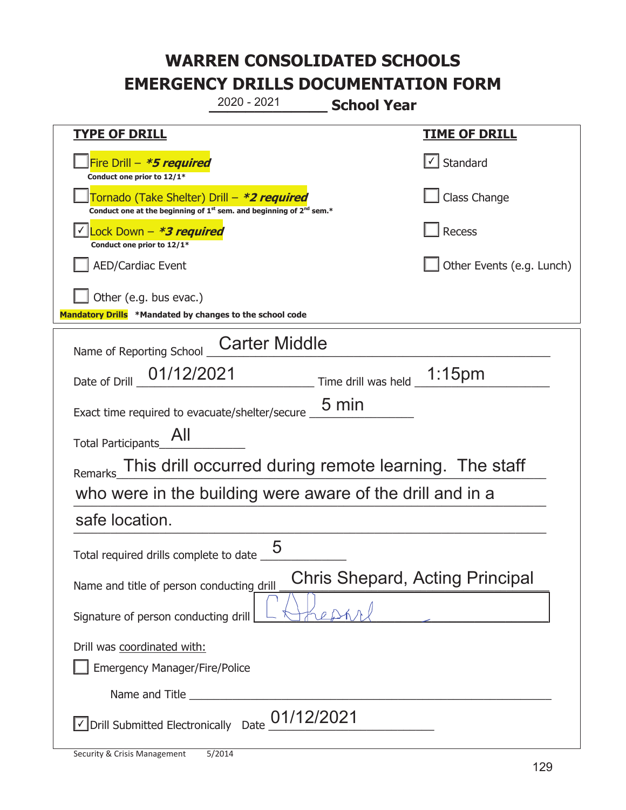|                                                                                                                                           | 2020 - 2021          | <b>School Year</b>         |                                                       |
|-------------------------------------------------------------------------------------------------------------------------------------------|----------------------|----------------------------|-------------------------------------------------------|
| <u>TYPE OF DRILL</u>                                                                                                                      |                      |                            | <b>TIME OF DRILL</b>                                  |
| Fire Drill - *5 required<br>Conduct one prior to 12/1*                                                                                    |                      |                            | $\cup$ Standard                                       |
| Tornado (Take Shelter) Drill – *2 required<br>Conduct one at the beginning of 1 <sup>st</sup> sem. and beginning of 2 <sup>nd</sup> sem.* |                      |                            | Class Change                                          |
| Lock Down - <b>*3 required</b><br>Conduct one prior to 12/1*                                                                              |                      |                            | <b>Recess</b>                                         |
| <b>AED/Cardiac Event</b>                                                                                                                  |                      |                            | Other Events (e.g. Lunch)                             |
| Other (e.g. bus evac.)<br>Mandatory Drills *Mandated by changes to the school code                                                        |                      |                            |                                                       |
| Name of Reporting School                                                                                                                  | <b>Carter Middle</b> |                            |                                                       |
| 01/12/2021<br>Date of Drill                                                                                                               |                      | Time drill was held 1:15pm |                                                       |
| Exact time required to evacuate/shelter/secure                                                                                            |                      | $5 \text{ min}$            |                                                       |
| Total Participants                                                                                                                        |                      |                            |                                                       |
| <b>Remarks</b>                                                                                                                            |                      |                            | This drill occurred during remote learning. The staff |
| who were in the building were aware of the drill and in a                                                                                 |                      |                            |                                                       |
| safe location.                                                                                                                            |                      |                            |                                                       |
| Total required drills complete to date $\frac{1}{\sqrt{2}}$                                                                               | 5                    |                            |                                                       |
| Name and title of person conducting drill                                                                                                 |                      |                            | Chris Shepard, Acting Principal                       |
| Signature of person conducting drill                                                                                                      |                      |                            |                                                       |
| Drill was coordinated with:<br><b>Emergency Manager/Fire/Police</b>                                                                       |                      |                            |                                                       |
|                                                                                                                                           |                      |                            |                                                       |
| $\sqrt{\phantom{a}}$ Drill Submitted Electronically Date $\sqrt{01/12/2021}$                                                              |                      |                            |                                                       |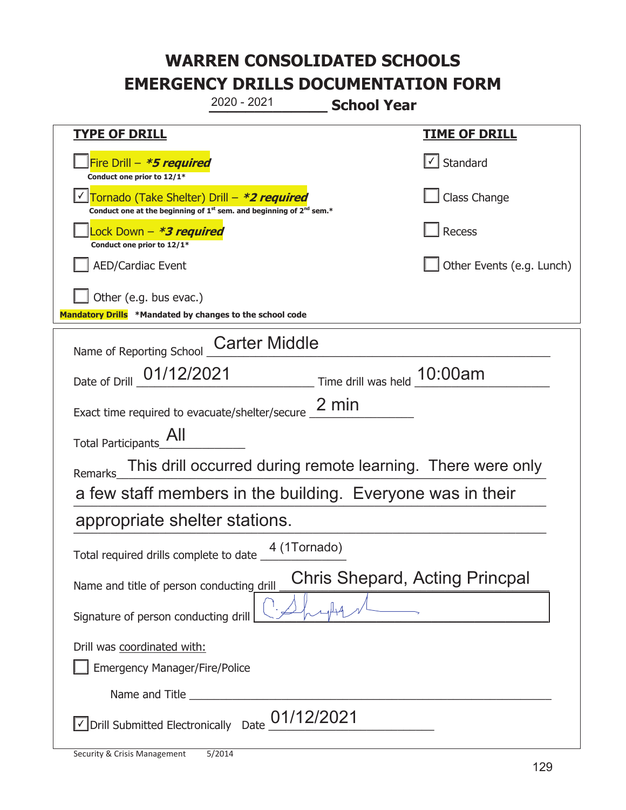**\_\_\_\_\_\_\_\_\_\_\_\_\_ School Year TYPE OF DRILL TIME OF DRILL**  侊Fire Drill – **\*5 required Conduct one prior to 12/1\***   $\boxed{\checkmark}$  Standard 侊Tornado (Take Shelter) Drill – **\*2 required** ✔ **Conduct one at the beginning of 1<sup>st</sup> sem. and beginning of 2<sup>nd</sup> sem.\*** Class Change 侊Lock Down – **\*3 required Conduct one prior to 12/1\* Recess** AED/Cardiac Event and the contract of the contract of the Contract of Contract of Contract of Contract of Contract of Contract of Contract of Contract of Contract of Contract of Contract of Contract of Contract of Contract Other (e.g. bus evac.) **Mandatory Drills \*Mandated by changes to the school code**  Name of Reporting School Carter Middle Date of Drill  $\frac{01/12/2021}{2}$  Time drill was held  $\frac{10:00am}{2}$ Exact time required to evacuate/shelter/secure  $\frac{2 \text{ min}}{2}$ Total Participants\_All\_\_\_\_\_\_\_\_\_\_ Remarks\_This drill occurred during remote learning. There were only a few staff members in the building. Everyone was in their appropriate shelter stations. Total required drills complete to date \_ Name and title of person conducting drill Signature of person conducting drill Drill was coordinated with: ܆ Emergency Manager/Fire/Police Name and Title  $\triangledown$  Drill Submitted Electronically Date  $\underline{01/12/2021}$ 2020 - 2021 4 (1Tornado) Chris Shepard, Acting Princpal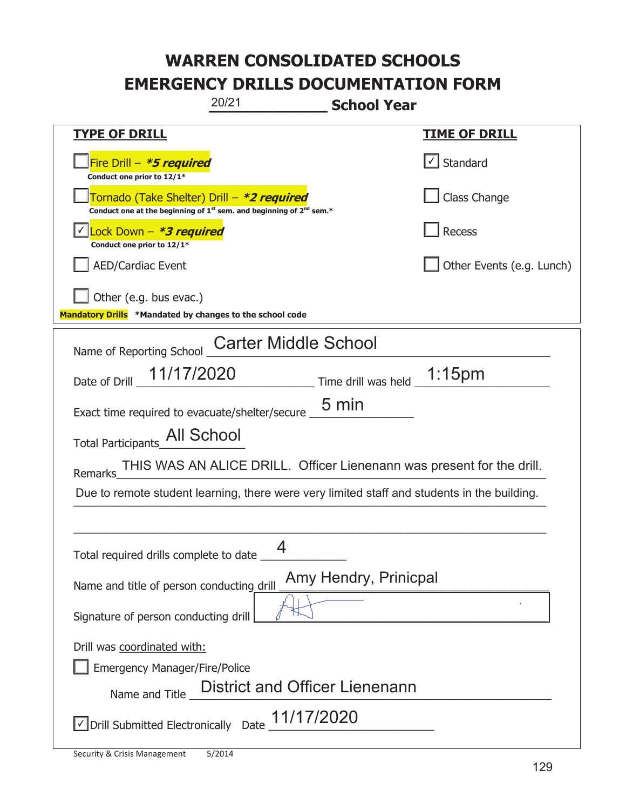| 20/21<br><b>School Year</b>                                                                                                               |                           |
|-------------------------------------------------------------------------------------------------------------------------------------------|---------------------------|
| <b>TYPE OF DRILL</b>                                                                                                                      | <b>TIME OF DRILL</b>      |
| Fire Drill - *5 required<br>Conduct one prior to 12/1*                                                                                    | $\sf I$ Standard          |
| Tornado (Take Shelter) Drill – *2 required<br>Conduct one at the beginning of 1 <sup>st</sup> sem. and beginning of 2 <sup>nd</sup> sem.* | Class Change              |
| Lock Down - <b>*3 required</b><br>Conduct one prior to 12/1*                                                                              | Recess                    |
| <b>AED/Cardiac Event</b>                                                                                                                  | Other Events (e.g. Lunch) |
| Other (e.g. bus evac.)<br>Mandatory Drills *Mandated by changes to the school code                                                        |                           |
| <b>Carter Middle School</b><br>Name of Reporting School                                                                                   |                           |
| Date of Drill _ 11/17/2020<br>Time drill was held __1:15pm                                                                                |                           |
| 5 min<br>Exact time required to evacuate/shelter/secure _                                                                                 |                           |
| Total Participants_All School                                                                                                             |                           |
| THIS WAS AN ALICE DRILL. Officer Lienenann was present for the drill.<br>Remarks                                                          |                           |
| Due to remote student learning, there were very limited staff and students in the building.                                               |                           |
|                                                                                                                                           |                           |
| Total required drills complete to date __                                                                                                 |                           |
| Amy Hendry, Prinicpal<br>Name and title of person conducting drill                                                                        |                           |
| Signature of person conducting drill                                                                                                      |                           |
| Drill was coordinated with:                                                                                                               |                           |
| <b>Emergency Manager/Fire/Police</b>                                                                                                      |                           |
| <b>District and Officer Lienenann</b><br>Name and Title                                                                                   |                           |
| √Drill Submitted Electronically Date 11/17/2020                                                                                           |                           |

t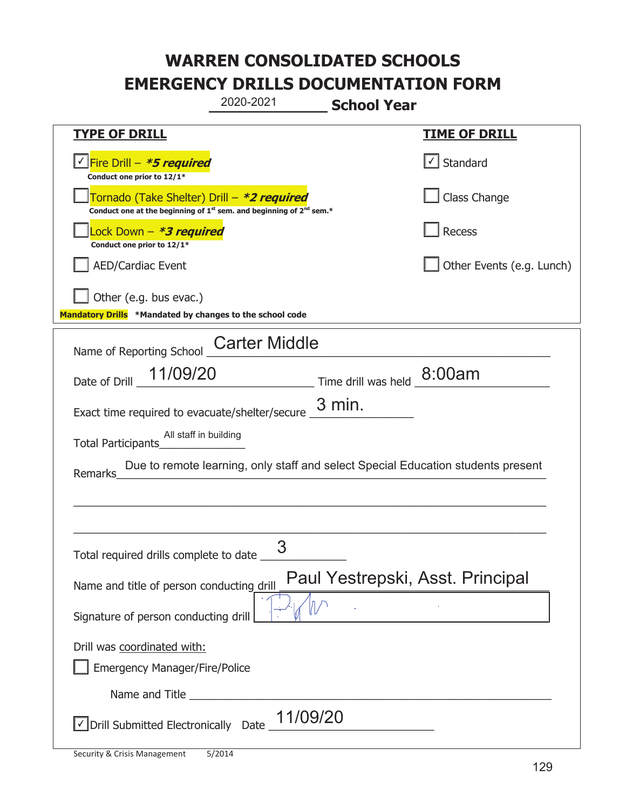|                                                                                                                                           | 2020-2021            | <b>School Year</b> |                                                                                  |
|-------------------------------------------------------------------------------------------------------------------------------------------|----------------------|--------------------|----------------------------------------------------------------------------------|
| <b>TYPE OF DRILL</b>                                                                                                                      |                      |                    | <b>TIME OF DRILL</b>                                                             |
| Fire Drill - *5 required<br>Conduct one prior to 12/1*                                                                                    |                      |                    | $\cup$ Standard                                                                  |
| Tornado (Take Shelter) Drill – *2 required<br>Conduct one at the beginning of 1 <sup>st</sup> sem. and beginning of 2 <sup>nd</sup> sem.* |                      |                    | Class Change                                                                     |
| Lock Down – <b>*<i>3 required</i></b><br>Conduct one prior to 12/1*                                                                       |                      |                    | Recess                                                                           |
| <b>AED/Cardiac Event</b>                                                                                                                  |                      |                    | Other Events (e.g. Lunch)                                                        |
| Other (e.g. bus evac.)<br>Mandatory Drills *Mandated by changes to the school code                                                        |                      |                    |                                                                                  |
| Name of Reporting School                                                                                                                  | <b>Carter Middle</b> |                    |                                                                                  |
| Date of Drill 11/09/20 Time drill was held 8:00am                                                                                         |                      |                    |                                                                                  |
| Exact time required to evacuate/shelter/secure                                                                                            |                      | $3$ min.           |                                                                                  |
| All staff in building<br>Total Participants                                                                                               |                      |                    |                                                                                  |
| <b>Remarks</b>                                                                                                                            |                      |                    | Due to remote learning, only staff and select Special Education students present |
|                                                                                                                                           |                      |                    |                                                                                  |
| Total required drills complete to date                                                                                                    | 3                    |                    |                                                                                  |
| Name and title of person conducting drill                                                                                                 |                      |                    | Paul Yestrepski, Asst. Principal                                                 |
| Signature of person conducting drill                                                                                                      |                      |                    |                                                                                  |
| Drill was coordinated with:<br><b>Emergency Manager/Fire/Police</b>                                                                       |                      |                    |                                                                                  |
|                                                                                                                                           |                      |                    |                                                                                  |
| √ Drill Submitted Electronically Date                                                                                                     | 11/09/20             |                    |                                                                                  |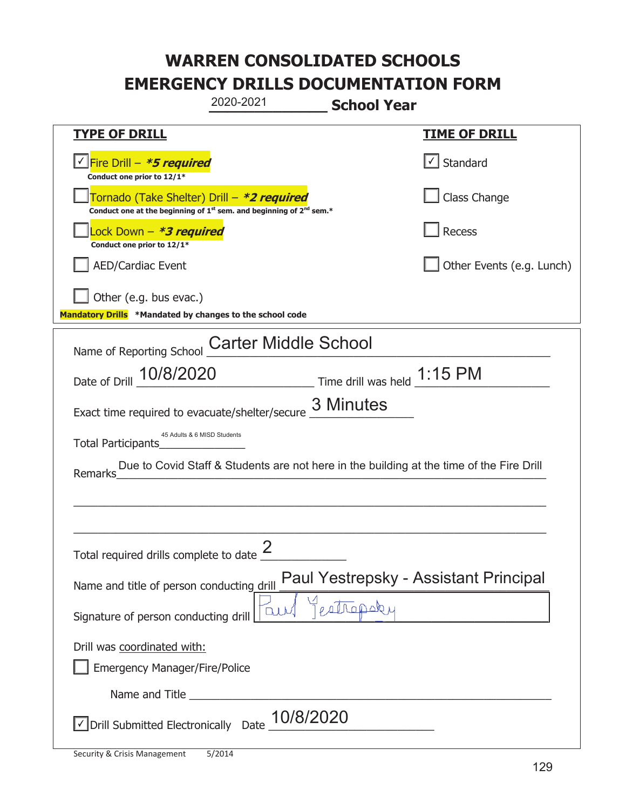|                                                                                    | 2020-2021                                                                                   | <b>School Year</b>                                                          |                                                                                          |
|------------------------------------------------------------------------------------|---------------------------------------------------------------------------------------------|-----------------------------------------------------------------------------|------------------------------------------------------------------------------------------|
| <b>TYPE OF DRILL</b>                                                               |                                                                                             |                                                                             | <u>TIME OF DRILL</u>                                                                     |
| Fire Drill - *5 required<br>Conduct one prior to 12/1*                             |                                                                                             |                                                                             | $\lfloor \angle \rfloor$ Standard                                                        |
| Tornado (Take Shelter) Drill – *2 required                                         | Conduct one at the beginning of 1 <sup>st</sup> sem. and beginning of 2 <sup>nd</sup> sem.* |                                                                             | Class Change                                                                             |
| Lock Down - *3 required<br>Conduct one prior to 12/1*                              |                                                                                             |                                                                             | Recess                                                                                   |
| <b>AED/Cardiac Event</b>                                                           |                                                                                             |                                                                             | Other Events (e.g. Lunch)                                                                |
| Other (e.g. bus evac.)<br>Mandatory Drills *Mandated by changes to the school code |                                                                                             |                                                                             |                                                                                          |
| Name of Reporting School                                                           | <b>Carter Middle School</b>                                                                 |                                                                             |                                                                                          |
| 10/8/2020<br>Date of Drill                                                         |                                                                                             | $\frac{1.15 \text{ PM}}{2}$ Time drill was held $\frac{1.15 \text{ PM}}{2}$ |                                                                                          |
| Exact time required to evacuate/shelter/secure                                     |                                                                                             | 3 Minutes                                                                   |                                                                                          |
| 45 Adults & 6 MISD Students<br>Total Participants                                  |                                                                                             |                                                                             |                                                                                          |
| Remarks                                                                            |                                                                                             |                                                                             | Due to Covid Staff & Students are not here in the building at the time of the Fire Drill |
|                                                                                    |                                                                                             |                                                                             |                                                                                          |
| Total required drills complete to date $\frac{2}{3}$                               |                                                                                             |                                                                             |                                                                                          |
| Name and title of person conducting drill                                          |                                                                                             |                                                                             | Paul Yestrepsky - Assistant Principal                                                    |
| Signature of person conducting drill                                               | <b>DU</b>                                                                                   | patropoky                                                                   |                                                                                          |
| Drill was coordinated with:<br><b>Emergency Manager/Fire/Police</b>                |                                                                                             |                                                                             |                                                                                          |
|                                                                                    |                                                                                             |                                                                             |                                                                                          |
| √ Drill Submitted Electronically Date                                              | 10/8/2020                                                                                   |                                                                             |                                                                                          |

t